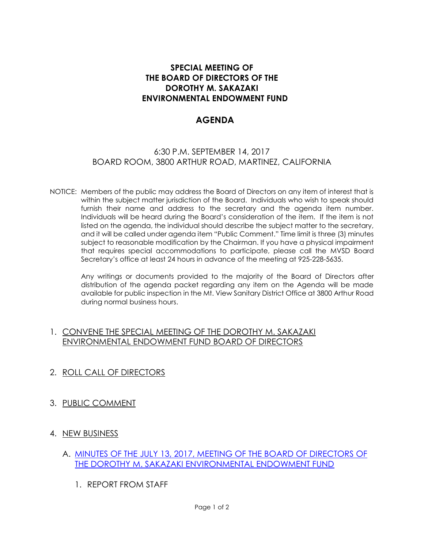## **SPECIAL MEETING OF THE BOARD OF DIRECTORS OF THE DOROTHY M. SAKAZAKI ENVIRONMENTAL ENDOWMENT FUND**

## **AGENDA**

## 6:30 P.M. SEPTEMBER 14, 2017 BOARD ROOM, 3800 ARTHUR ROAD, MARTINEZ, CALIFORNIA

NOTICE: Members of the public may address the Board of Directors on any item of interest that is within the subject matter jurisdiction of the Board. Individuals who wish to speak should furnish their name and address to the secretary and the agenda item number. Individuals will be heard during the Board's consideration of the item. If the item is not listed on the agenda, the individual should describe the subject matter to the secretary, and it will be called under agenda item "Public Comment." Time limit is three (3) minutes subject to reasonable modification by the Chairman. If you have a physical impairment that requires special accommodations to participate, please call the MVSD Board Secretary's office at least 24 hours in advance of the meeting at 925-228-5635.

Any writings or documents provided to the majority of the Board of Directors after distribution of the agenda packet regarding any item on the Agenda will be made available for public inspection in the Mt. View Sanitary District Office at 3800 Arthur Road during normal business hours.

## 1. CONVENE THE SPECIAL MEETING OF THE DOROTHY M. SAKAZAKI ENVIRONMENTAL ENDOWMENT FUND BOARD OF DIRECTORS

- 2. ROLL CALL OF DIRECTORS
- 3. PUBLIC COMMENT
- 4. NEW BUSINESS
	- A. [MINUTES OF THE JULY 13, 2017, MEETING OF THE BOARD OF DIRECTORS OF](http://www.mvsd.org/wp-content/uploads/2017/09/2017-09-14-ITEM-4A.pdf)  [THE DOROTHY M. SAKAZAKI ENVIRONMENTAL ENDOWMENT FUND](http://www.mvsd.org/wp-content/uploads/2017/09/2017-09-14-ITEM-4A.pdf)
		- 1. REPORT FROM STAFF